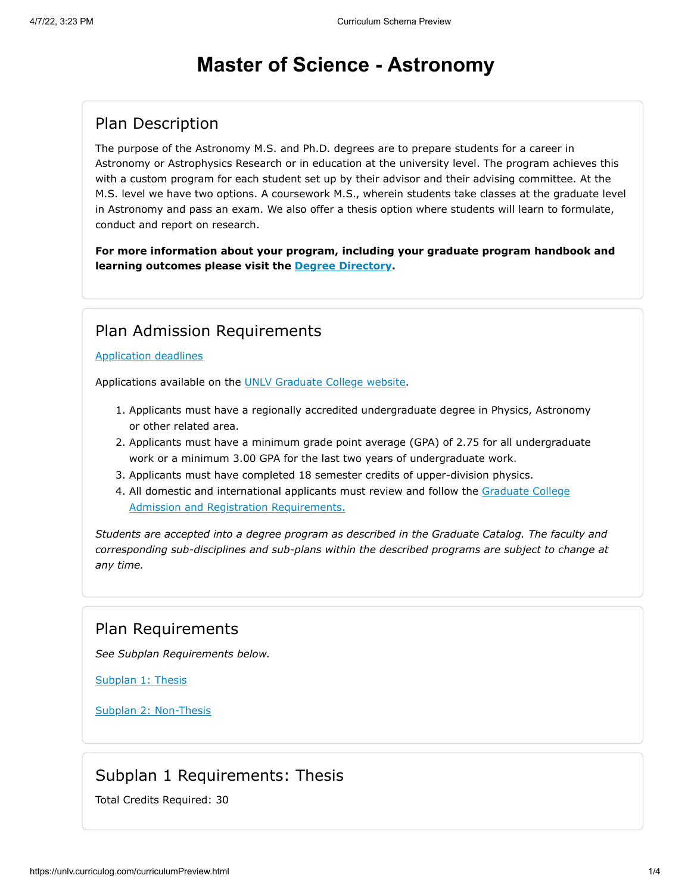# **Master of Science - Astronomy**

## Plan Description

The purpose of the Astronomy M.S. and Ph.D. degrees are to prepare students for a career in Astronomy or Astrophysics Research or in education at the university level. The program achieves this with a custom program for each student set up by their advisor and their advising committee. At the M.S. level we have two options. A coursework M.S., wherein students take classes at the graduate level in Astronomy and pass an exam. We also offer a thesis option where students will learn to formulate, conduct and report on research.

**For more information about your program, including your graduate program handbook and learning outcomes please visit the [Degree Directory](http://www.unlv.edu/degree/ms-astronomy).**

### Plan Admission Requirements

#### [Application deadlines](http://www.unlv.edu/graduatecollege/application-deadlines)

Applications available on the [UNLV Graduate College website.](http://graduatecollege.unlv.edu/admissions/)

- 1. Applicants must have a regionally accredited undergraduate degree in Physics, Astronomy or other related area.
- 2. Applicants must have a minimum grade point average (GPA) of 2.75 for all undergraduate work or a minimum 3.00 GPA for the last two years of undergraduate work.
- 3. Applicants must have completed 18 semester credits of upper-division physics.
- 4. [All domestic and international applicants must review and follow the Graduate College](http://www.unlv.edu/graduatecollege/futurestudents) Admission and Registration Requirements.

*Students are accepted into a degree program as described in the Graduate Catalog. The faculty and corresponding sub-disciplines and sub-plans within the described programs are subject to change at any time.*

### Plan Requirements

*See Subplan Requirements below.*

[Subplan 1: Thesis](#page-0-0)

[Subplan 2: Non-Thesis](#page-1-0)

### Subplan 1 Requirements: Thesis

<span id="page-0-0"></span>Total Credits Required: 30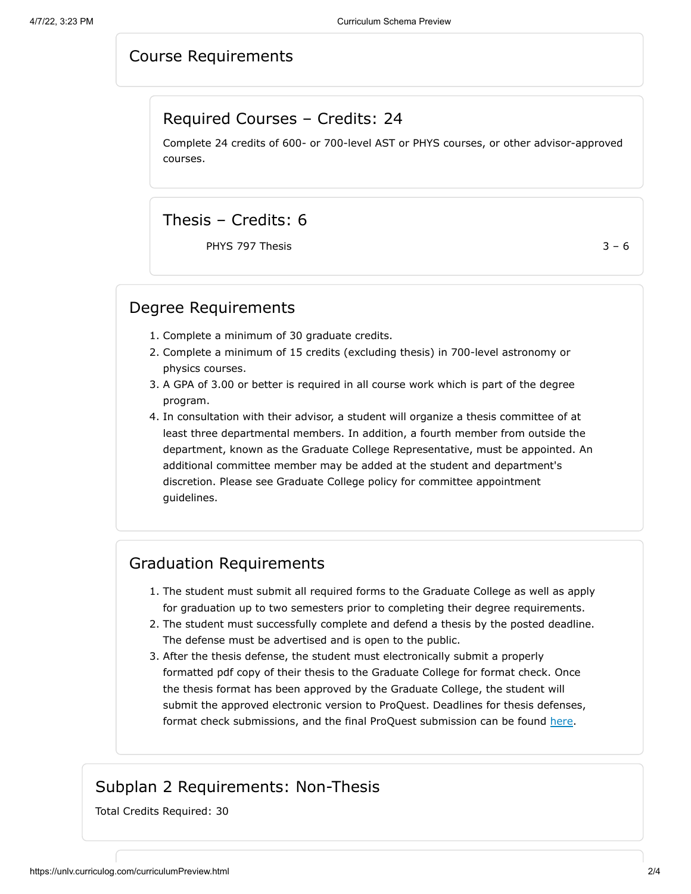### Course Requirements

#### Required Courses – Credits: 24

Complete 24 credits of 600- or 700-level AST or PHYS courses, or other advisor-approved courses.

### Thesis – Credits: 6

PHYS 797 Thesis  $3 - 6$ 

#### Degree Requirements

- 1. Complete a minimum of 30 graduate credits.
- 2. Complete a minimum of 15 credits (excluding thesis) in 700-level astronomy or physics courses.
- 3. A GPA of 3.00 or better is required in all course work which is part of the degree program.
- 4. In consultation with their advisor, a student will organize a thesis committee of at least three departmental members. In addition, a fourth member from outside the department, known as the Graduate College Representative, must be appointed. An additional committee member may be added at the student and department's discretion. Please see Graduate College policy for committee appointment guidelines.

### Graduation Requirements

- 1. The student must submit all required forms to the Graduate College as well as apply for graduation up to two semesters prior to completing their degree requirements.
- 2. The student must successfully complete and defend a thesis by the posted deadline. The defense must be advertised and is open to the public.
- 3. After the thesis defense, the student must electronically submit a properly formatted pdf copy of their thesis to the Graduate College for format check. Once the thesis format has been approved by the Graduate College, the student will submit the approved electronic version to ProQuest. Deadlines for thesis defenses, format check submissions, and the final ProQuest submission can be found [here.](https://www.unlv.edu/graduatecollege/graduation-deadlines)

### Subplan 2 Requirements: Non-Thesis

<span id="page-1-0"></span>Total Credits Required: 30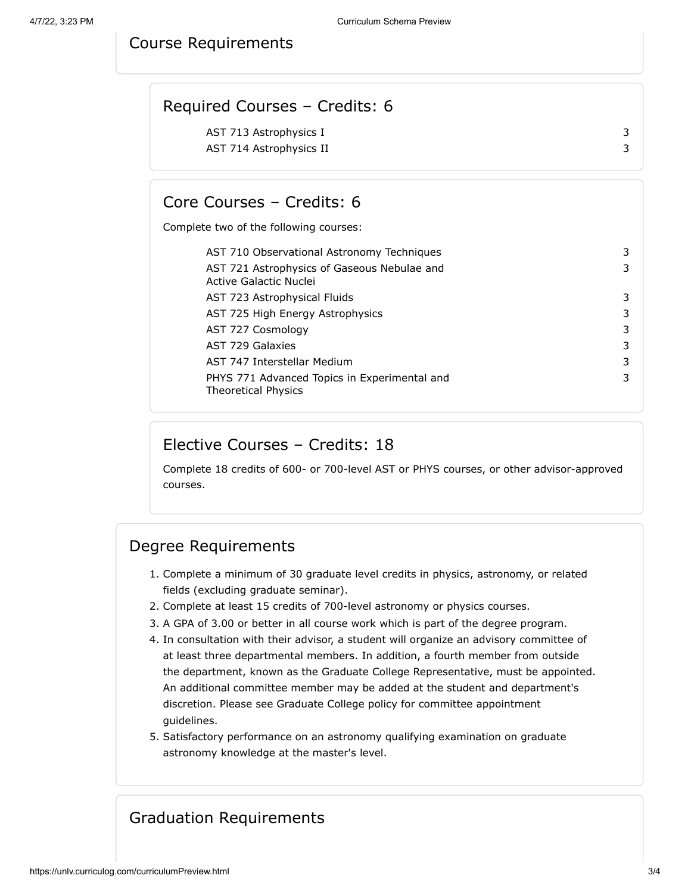#### Course Requirements

| Required Courses - Credits: 6 |  |
|-------------------------------|--|
| AST 713 Astrophysics I        |  |
| AST 714 Astrophysics II       |  |
|                               |  |

### Core Courses – Credits: 6

Complete two of the following courses:

| AST 710 Observational Astronomy Techniques                                 | 3 |
|----------------------------------------------------------------------------|---|
| AST 721 Astrophysics of Gaseous Nebulae and<br>Active Galactic Nuclei      | 3 |
| AST 723 Astrophysical Fluids                                               | 3 |
| AST 725 High Energy Astrophysics                                           | 3 |
| AST 727 Cosmology                                                          | 3 |
| AST 729 Galaxies                                                           | 3 |
| AST 747 Interstellar Medium                                                | 3 |
| PHYS 771 Advanced Topics in Experimental and<br><b>Theoretical Physics</b> | 3 |

### Elective Courses – Credits: 18

Complete 18 credits of 600- or 700-level AST or PHYS courses, or other advisor-approved courses.

### Degree Requirements

- 1. Complete a minimum of 30 graduate level credits in physics, astronomy, or related fields (excluding graduate seminar).
- 2. Complete at least 15 credits of 700-level astronomy or physics courses.
- 3. A GPA of 3.00 or better in all course work which is part of the degree program.
- 4. In consultation with their advisor, a student will organize an advisory committee of at least three departmental members. In addition, a fourth member from outside the department, known as the Graduate College Representative, must be appointed. An additional committee member may be added at the student and department's discretion. Please see Graduate College policy for committee appointment guidelines.
- 5. Satisfactory performance on an astronomy qualifying examination on graduate astronomy knowledge at the master's level.

## Graduation Requirements